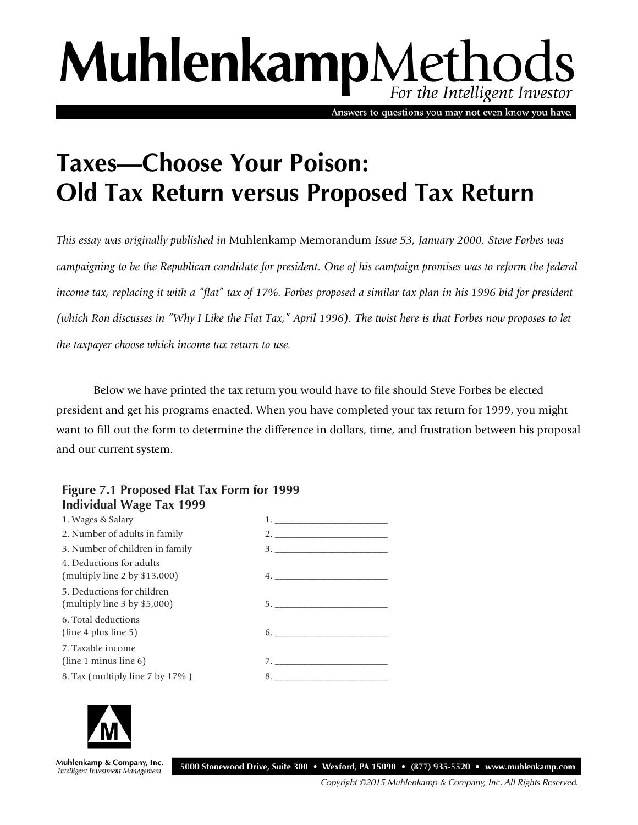# MuhlenkampMethods For the Intelligent Investor

Answers to questions you may not even know you have.

## **Taxes—Choose Your Poison: Old Tax Return versus Proposed Tax Return**

*This essay was originally published in* Muhlenkamp Memorandum *Issue 53, January 2000. Steve Forbes was campaigning to be the Republican candidate for president. One of his campaign promises was to reform the federal income tax, replacing it with a "flat" tax of 17%. Forbes proposed a similar tax plan in his 1996 bid for president (which Ron discusses in "Why I Like the Flat Tax," April 1996). The twist here is that Forbes now proposes to let the taxpayer choose which income tax return to use.* 

Below we have printed the tax return you would have to file should Steve Forbes be elected president and get his programs enacted. When you have completed your tax return for 1999, you might want to fill out the form to determine the difference in dollars, time, and frustration between his proposal and our current system.

### **Figure 7.1 Proposed Flat Tax Form for 1999 Individual Wage Tax 1999**

| 1. Wages & Salary                                              |                                       |
|----------------------------------------------------------------|---------------------------------------|
| 2. Number of adults in family                                  |                                       |
| 3. Number of children in family                                |                                       |
| 4. Deductions for adults<br>(multiply line $2$ by $$13,000$ )  |                                       |
| 5. Deductions for children<br>(multiply line $3$ by $$5,000$ ) |                                       |
| 6. Total deductions<br>(line 4 plus line 5)                    | $6.$ $\overline{\phantom{a}}$         |
| 7. Taxable income<br>(line 1 minus line 6)                     | 7. <u>___________________________</u> |
| 8. Tax (multiply line 7 by 17%)                                | 8.                                    |
|                                                                |                                       |



Muhlenkamp & Company, Inc. Intelligent Investment Management

5000 Stonewood Drive, Suite 300 • Wexford, PA 15090 • (877) 935-5520 • www.muhlenkamp.com

Copyright ©2015 Muhlenkamp & Company, Inc. All Rights Reserved.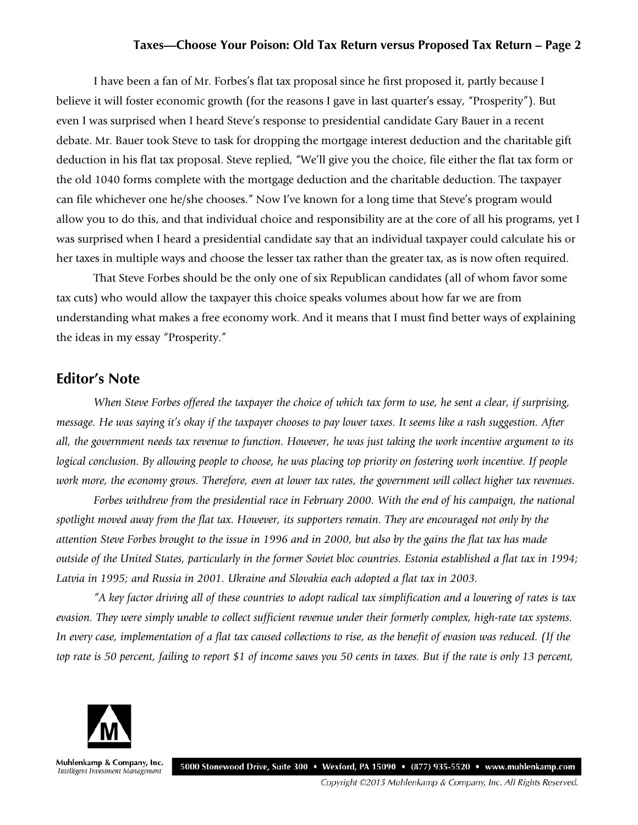#### **Taxes—Choose Your Poison: Old Tax Return versus Proposed Tax Return – Page 2**

I have been a fan of Mr. Forbes's flat tax proposal since he first proposed it, partly because I believe it will foster economic growth (for the reasons I gave in last quarter's essay, "Prosperity"). But even I was surprised when I heard Steve's response to presidential candidate Gary Bauer in a recent debate. Mr. Bauer took Steve to task for dropping the mortgage interest deduction and the charitable gift deduction in his flat tax proposal. Steve replied, "We'll give you the choice, file either the flat tax form or the old 1040 forms complete with the mortgage deduction and the charitable deduction. The taxpayer can file whichever one he/she chooses." Now I've known for a long time that Steve's program would allow you to do this, and that individual choice and responsibility are at the core of all his programs, yet I was surprised when I heard a presidential candidate say that an individual taxpayer could calculate his or her taxes in multiple ways and choose the lesser tax rather than the greater tax, as is now often required.

That Steve Forbes should be the only one of six Republican candidates (all of whom favor some tax cuts) who would allow the taxpayer this choice speaks volumes about how far we are from understanding what makes a free economy work. And it means that I must find better ways of explaining the ideas in my essay "Prosperity."

#### **Editor's Note**

*When Steve Forbes offered the taxpayer the choice of which tax form to use, he sent a clear, if surprising, message. He was saying it's okay if the taxpayer chooses to pay lower taxes. It seems like a rash suggestion. After all, the government needs tax revenue to function. However, he was just taking the work incentive argument to its logical conclusion. By allowing people to choose, he was placing top priority on fostering work incentive. If people work more, the economy grows. Therefore, even at lower tax rates, the government will collect higher tax revenues.* 

Forbes withdrew from the presidential race in February 2000. With the end of his campaign, the national *spotlight moved away from the flat tax. However, its supporters remain. They are encouraged not only by the attention Steve Forbes brought to the issue in 1996 and in 2000, but also by the gains the flat tax has made outside of the United States, particularly in the former Soviet bloc countries. Estonia established a flat tax in 1994; Latvia in 1995; and Russia in 2001. Ukraine and Slovakia each adopted a flat tax in 2003.* 

*"A key factor driving all of these countries to adopt radical tax simplification and a lowering of rates is tax evasion. They were simply unable to collect sufficient revenue under their formerly complex, high-rate tax systems. In every case, implementation of a flat tax caused collections to rise, as the benefit of evasion was reduced. (If the top rate is 50 percent, failing to report \$1 of income saves you 50 cents in taxes. But if the rate is only 13 percent,* 



Muhlenkamp & Company, Inc. 5000 Stonewood Drive, Suite 300 • Wexford, PA 15090 • (877) 935-5520 • www.muhlenkamp.com Intelligent Investment Management

Copyright ©2015 Muhlenkamp & Company, Inc. All Rights Reserved.